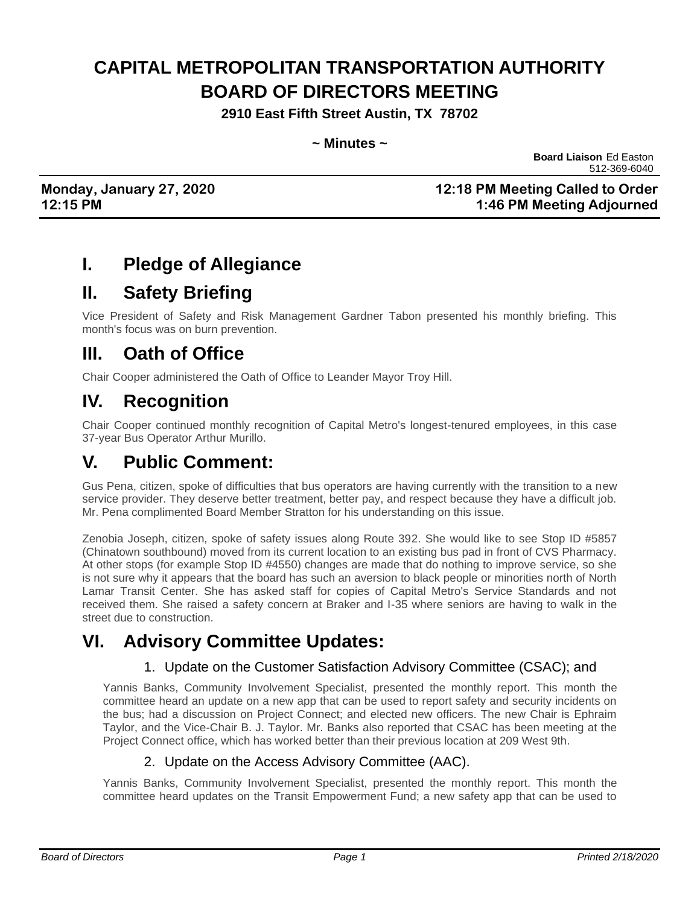# **CAPITAL METROPOLITAN TRANSPORTATION AUTHORITY BOARD OF DIRECTORS MEETING**

**2910 East Fifth Street Austin, TX 78702**

#### **~ Minutes ~**

**Board Liaison** Ed Easton 512-369-6040

### **Monday, January 27, 2020 12:18 PM Meeting Called to Order 12:15 PM 1:46 PM Meeting Adjourned**

# **I. Pledge of Allegiance**

### **II. Safety Briefing**

Vice President of Safety and Risk Management Gardner Tabon presented his monthly briefing. This month's focus was on burn prevention.

### **III. Oath of Office**

Chair Cooper administered the Oath of Office to Leander Mayor Troy Hill.

# **IV. Recognition**

Chair Cooper continued monthly recognition of Capital Metro's longest-tenured employees, in this case 37-year Bus Operator Arthur Murillo.

### **V. Public Comment:**

Gus Pena, citizen, spoke of difficulties that bus operators are having currently with the transition to a new service provider. They deserve better treatment, better pay, and respect because they have a difficult job. Mr. Pena complimented Board Member Stratton for his understanding on this issue.

Zenobia Joseph, citizen, spoke of safety issues along Route 392. She would like to see Stop ID #5857 (Chinatown southbound) moved from its current location to an existing bus pad in front of CVS Pharmacy. At other stops (for example Stop ID #4550) changes are made that do nothing to improve service, so she is not sure why it appears that the board has such an aversion to black people or minorities north of North Lamar Transit Center. She has asked staff for copies of Capital Metro's Service Standards and not received them. She raised a safety concern at Braker and I-35 where seniors are having to walk in the street due to construction.

# **VI. Advisory Committee Updates:**

### 1. Update on the Customer Satisfaction Advisory Committee (CSAC); and

Yannis Banks, Community Involvement Specialist, presented the monthly report. This month the committee heard an update on a new app that can be used to report safety and security incidents on the bus; had a discussion on Project Connect; and elected new officers. The new Chair is Ephraim Taylor, and the Vice-Chair B. J. Taylor. Mr. Banks also reported that CSAC has been meeting at the Project Connect office, which has worked better than their previous location at 209 West 9th.

#### 2. Update on the Access Advisory Committee (AAC).

Yannis Banks, Community Involvement Specialist, presented the monthly report. This month the committee heard updates on the Transit Empowerment Fund; a new safety app that can be used to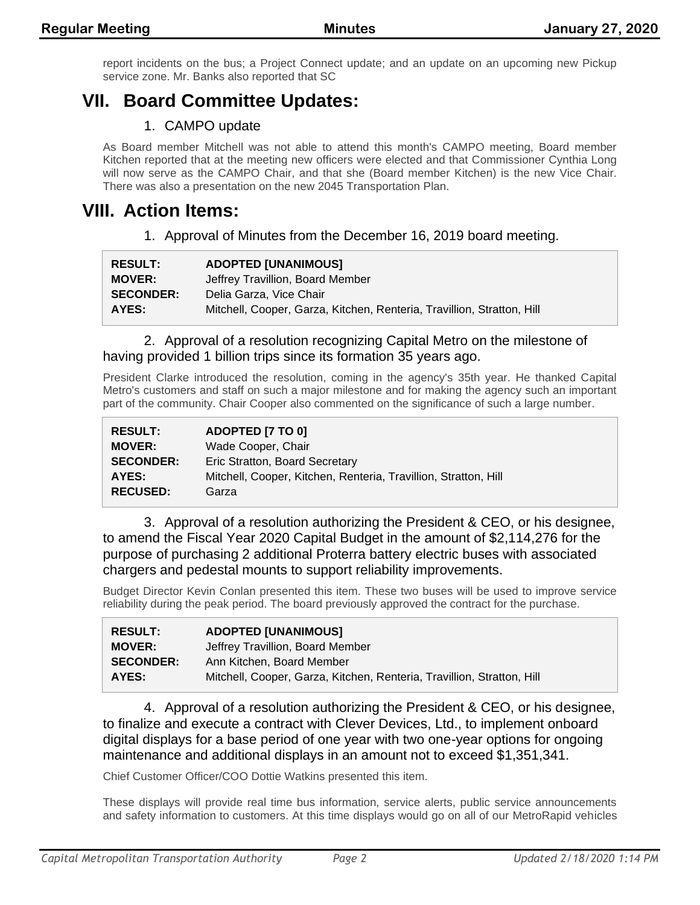report incidents on the bus; a Project Connect update; and an update on an upcoming new Pickup service zone. Mr. Banks also reported that SC

# **VII. Board Committee Updates:**

### 1. CAMPO update

As Board member Mitchell was not able to attend this month's CAMPO meeting, Board member Kitchen reported that at the meeting new officers were elected and that Commissioner Cynthia Long will now serve as the CAMPO Chair, and that she (Board member Kitchen) is the new Vice Chair. There was also a presentation on the new 2045 Transportation Plan.

### **VIII. Action Items:**

1. Approval of Minutes from the December 16, 2019 board meeting.

| <b>RESULT:</b>   | <b>ADOPTED [UNANIMOUS]</b>                                             |
|------------------|------------------------------------------------------------------------|
| <b>MOVER:</b>    | Jeffrey Travillion, Board Member                                       |
| <b>SECONDER:</b> | Delia Garza, Vice Chair                                                |
| AYES:            | Mitchell, Cooper, Garza, Kitchen, Renteria, Travillion, Stratton, Hill |

#### 2. Approval of a resolution recognizing Capital Metro on the milestone of having provided 1 billion trips since its formation 35 years ago.

President Clarke introduced the resolution, coming in the agency's 35th year. He thanked Capital Metro's customers and staff on such a major milestone and for making the agency such an important part of the community. Chair Cooper also commented on the significance of such a large number.

| <b>RESULT:</b>   | ADOPTED [7 TO 0]                                                |
|------------------|-----------------------------------------------------------------|
| <b>MOVER:</b>    | Wade Cooper, Chair                                              |
| <b>SECONDER:</b> | Eric Stratton, Board Secretary                                  |
| AYES:            | Mitchell, Cooper, Kitchen, Renteria, Travillion, Stratton, Hill |
| <b>RECUSED:</b>  | Garza                                                           |

3. Approval of a resolution authorizing the President & CEO, or his designee, to amend the Fiscal Year 2020 Capital Budget in the amount of \$2,114,276 for the purpose of purchasing 2 additional Proterra battery electric buses with associated chargers and pedestal mounts to support reliability improvements.

Budget Director Kevin Conlan presented this item. These two buses will be used to improve service reliability during the peak period. The board previously approved the contract for the purchase.

| <b>RESULT:</b>   | <b>ADOPTED [UNANIMOUS]</b>                                             |
|------------------|------------------------------------------------------------------------|
| <b>MOVER:</b>    | Jeffrey Travillion, Board Member                                       |
| <b>SECONDER:</b> | Ann Kitchen, Board Member                                              |
| AYES:            | Mitchell, Cooper, Garza, Kitchen, Renteria, Travillion, Stratton, Hill |

4. Approval of a resolution authorizing the President & CEO, or his designee, to finalize and execute a contract with Clever Devices, Ltd., to implement onboard digital displays for a base period of one year with two one-year options for ongoing maintenance and additional displays in an amount not to exceed \$1,351,341.

Chief Customer Officer/COO Dottie Watkins presented this item.

These displays will provide real time bus information, service alerts, public service announcements and safety information to customers. At this time displays would go on all of our MetroRapid vehicles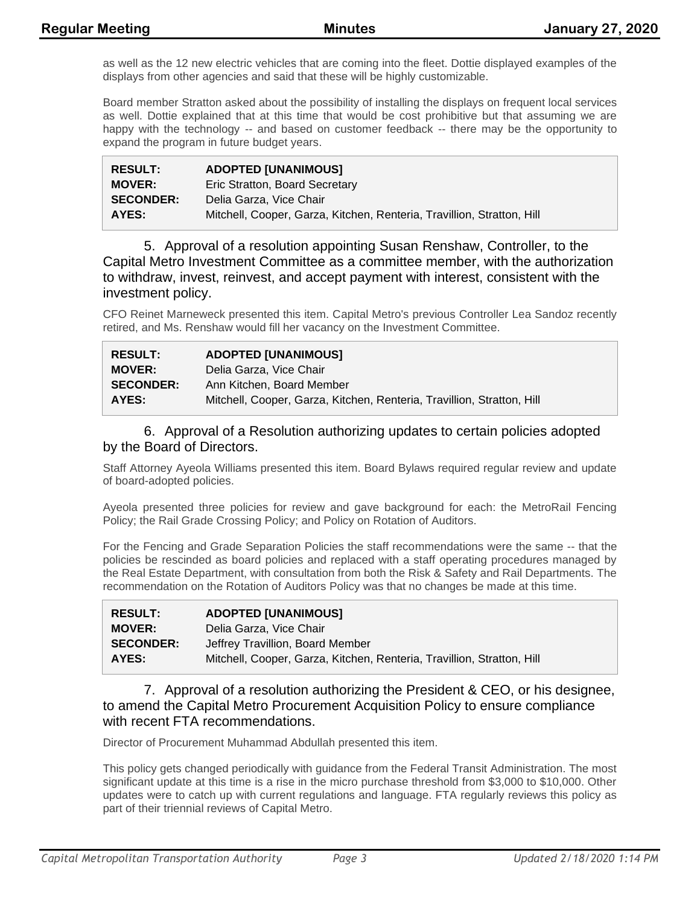as well as the 12 new electric vehicles that are coming into the fleet. Dottie displayed examples of the displays from other agencies and said that these will be highly customizable.

Board member Stratton asked about the possibility of installing the displays on frequent local services as well. Dottie explained that at this time that would be cost prohibitive but that assuming we are happy with the technology -- and based on customer feedback -- there may be the opportunity to expand the program in future budget years.

| <b>RESULT:</b>   | <b>ADOPTED [UNANIMOUS]</b>                                             |
|------------------|------------------------------------------------------------------------|
| <b>MOVER:</b>    | Eric Stratton, Board Secretary                                         |
| <b>SECONDER:</b> | Delia Garza, Vice Chair                                                |
| AYES:            | Mitchell, Cooper, Garza, Kitchen, Renteria, Travillion, Stratton, Hill |

5. Approval of a resolution appointing Susan Renshaw, Controller, to the Capital Metro Investment Committee as a committee member, with the authorization to withdraw, invest, reinvest, and accept payment with interest, consistent with the investment policy.

CFO Reinet Marneweck presented this item. Capital Metro's previous Controller Lea Sandoz recently retired, and Ms. Renshaw would fill her vacancy on the Investment Committee.

| <b>RESULT:</b>   | <b>ADOPTED [UNANIMOUS]</b>                                             |
|------------------|------------------------------------------------------------------------|
| <b>MOVER:</b>    | Delia Garza, Vice Chair                                                |
| <b>SECONDER:</b> | Ann Kitchen, Board Member                                              |
| AYES:            | Mitchell, Cooper, Garza, Kitchen, Renteria, Travillion, Stratton, Hill |

#### 6. Approval of a Resolution authorizing updates to certain policies adopted by the Board of Directors.

Staff Attorney Ayeola Williams presented this item. Board Bylaws required regular review and update of board-adopted policies.

Ayeola presented three policies for review and gave background for each: the MetroRail Fencing Policy; the Rail Grade Crossing Policy; and Policy on Rotation of Auditors.

For the Fencing and Grade Separation Policies the staff recommendations were the same -- that the policies be rescinded as board policies and replaced with a staff operating procedures managed by the Real Estate Department, with consultation from both the Risk & Safety and Rail Departments. The recommendation on the Rotation of Auditors Policy was that no changes be made at this time.

| <b>RESULT:</b>   | <b>ADOPTED [UNANIMOUS]</b>                                             |
|------------------|------------------------------------------------------------------------|
| <b>MOVER:</b>    | Delia Garza, Vice Chair                                                |
| <b>SECONDER:</b> | Jeffrey Travillion, Board Member                                       |
| AYES:            | Mitchell, Cooper, Garza, Kitchen, Renteria, Travillion, Stratton, Hill |

#### 7. Approval of a resolution authorizing the President & CEO, or his designee, to amend the Capital Metro Procurement Acquisition Policy to ensure compliance with recent FTA recommendations.

Director of Procurement Muhammad Abdullah presented this item.

This policy gets changed periodically with guidance from the Federal Transit Administration. The most significant update at this time is a rise in the micro purchase threshold from \$3,000 to \$10,000. Other updates were to catch up with current regulations and language. FTA regularly reviews this policy as part of their triennial reviews of Capital Metro.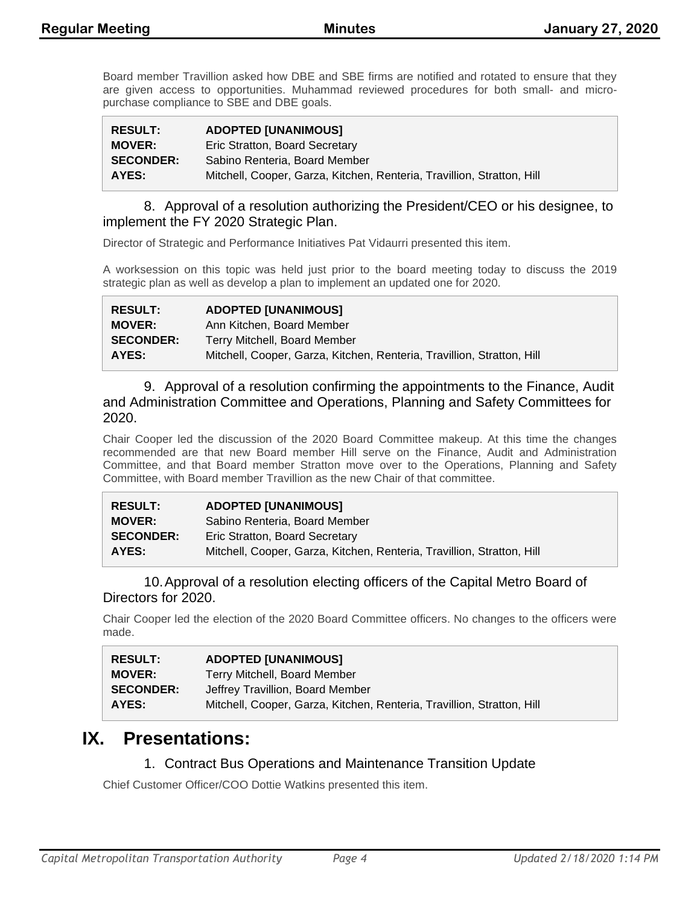Board member Travillion asked how DBE and SBE firms are notified and rotated to ensure that they are given access to opportunities. Muhammad reviewed procedures for both small- and micropurchase compliance to SBE and DBE goals.

| <b>RESULT:</b>   | <b>ADOPTED [UNANIMOUS]</b>                                             |
|------------------|------------------------------------------------------------------------|
| <b>MOVER:</b>    | Eric Stratton, Board Secretary                                         |
| <b>SECONDER:</b> | Sabino Renteria. Board Member                                          |
| AYES:            | Mitchell, Cooper, Garza, Kitchen, Renteria, Travillion, Stratton, Hill |

8. Approval of a resolution authorizing the President/CEO or his designee, to implement the FY 2020 Strategic Plan.

Director of Strategic and Performance Initiatives Pat Vidaurri presented this item.

A worksession on this topic was held just prior to the board meeting today to discuss the 2019 strategic plan as well as develop a plan to implement an updated one for 2020.

| <b>RESULT:</b>   | <b>ADOPTED [UNANIMOUS]</b>                                             |
|------------------|------------------------------------------------------------------------|
| <b>MOVER:</b>    | Ann Kitchen, Board Member                                              |
| <b>SECONDER:</b> | Terry Mitchell, Board Member                                           |
| AYES:            | Mitchell, Cooper, Garza, Kitchen, Renteria, Travillion, Stratton, Hill |

9. Approval of a resolution confirming the appointments to the Finance, Audit and Administration Committee and Operations, Planning and Safety Committees for 2020.

Chair Cooper led the discussion of the 2020 Board Committee makeup. At this time the changes recommended are that new Board member Hill serve on the Finance, Audit and Administration Committee, and that Board member Stratton move over to the Operations, Planning and Safety Committee, with Board member Travillion as the new Chair of that committee.

| <b>RESULT:</b>   | <b>ADOPTED [UNANIMOUS]</b>                                             |
|------------------|------------------------------------------------------------------------|
| <b>MOVER:</b>    | Sabino Renteria, Board Member                                          |
| <b>SECONDER:</b> | Eric Stratton, Board Secretary                                         |
| AYES:            | Mitchell, Cooper, Garza, Kitchen, Renteria, Travillion, Stratton, Hill |

#### 10.Approval of a resolution electing officers of the Capital Metro Board of Directors for 2020.

Chair Cooper led the election of the 2020 Board Committee officers. No changes to the officers were made.

| <b>RESULT:</b>   | <b>ADOPTED [UNANIMOUS]</b>                                             |
|------------------|------------------------------------------------------------------------|
| <b>MOVER:</b>    | Terry Mitchell, Board Member                                           |
| <b>SECONDER:</b> | Jeffrey Travillion, Board Member                                       |
| AYES:            | Mitchell, Cooper, Garza, Kitchen, Renteria, Travillion, Stratton, Hill |

### **IX. Presentations:**

### 1. Contract Bus Operations and Maintenance Transition Update

Chief Customer Officer/COO Dottie Watkins presented this item.